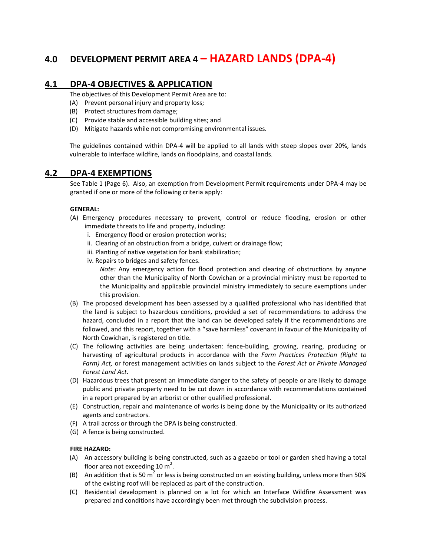# 4.0 DEVELOPMENT PERMIT AREA 4 – HAZARD LANDS (DPA-4)

# 4.1 DPA-4 OBJECTIVES & APPLICATION

The objectives of this Development Permit Area are to:

- (A) Prevent personal injury and property loss;
- (B) Protect structures from damage;
- (C) Provide stable and accessible building sites; and
- (D) Mitigate hazards while not compromising environmental issues.

The guidelines contained within DPA-4 will be applied to all lands with steep slopes over 20%, lands vulnerable to interface wildfire, lands on floodplains, and coastal lands.

# 4.2 DPA-4 EXEMPTIONS

See Table 1 (Page 6). Also, an exemption from Development Permit requirements under DPA-4 may be granted if one or more of the following criteria apply:

#### GENERAL:

- (A) Emergency procedures necessary to prevent, control or reduce flooding, erosion or other immediate threats to life and property, including:
	- i. Emergency flood or erosion protection works;
	- ii. Clearing of an obstruction from a bridge, culvert or drainage flow;
	- iii. Planting of native vegetation for bank stabilization;
	- iv. Repairs to bridges and safety fences.

Note: Any emergency action for flood protection and clearing of obstructions by anyone other than the Municipality of North Cowichan or a provincial ministry must be reported to the Municipality and applicable provincial ministry immediately to secure exemptions under this provision.

- (B) The proposed development has been assessed by a qualified professional who has identified that the land is subject to hazardous conditions, provided a set of recommendations to address the hazard, concluded in a report that the land can be developed safely if the recommendations are followed, and this report, together with a "save harmless" covenant in favour of the Municipality of North Cowichan, is registered on title.
- (C) The following activities are being undertaken: fence-building, growing, rearing, producing or harvesting of agricultural products in accordance with the Farm Practices Protection (Right to Farm) Act, or forest management activities on lands subject to the Forest Act or Private Managed Forest Land Act.
- (D) Hazardous trees that present an immediate danger to the safety of people or are likely to damage public and private property need to be cut down in accordance with recommendations contained in a report prepared by an arborist or other qualified professional.
- (E) Construction, repair and maintenance of works is being done by the Municipality or its authorized agents and contractors.
- (F) A trail across or through the DPA is being constructed.
- (G) A fence is being constructed.

#### FIRE HAZARD:

- (A) An accessory building is being constructed, such as a gazebo or tool or garden shed having a total floor area not exceeding 10  $m^2$ .
- (B) An addition that is 50 m<sup>2</sup> or less is being constructed on an existing building, unless more than 50% of the existing roof will be replaced as part of the construction.
- (C) Residential development is planned on a lot for which an Interface Wildfire Assessment was prepared and conditions have accordingly been met through the subdivision process.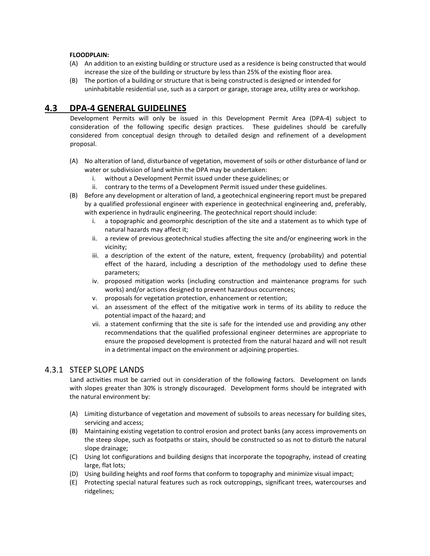#### FLOODPLAIN:

- (A) An addition to an existing building or structure used as a residence is being constructed that would increase the size of the building or structure by less than 25% of the existing floor area.
- (B) The portion of a building or structure that is being constructed is designed or intended for uninhabitable residential use, such as a carport or garage, storage area, utility area or workshop.

# 4.3 DPA-4 GENERAL GUIDELINES

Development Permits will only be issued in this Development Permit Area (DPA-4) subject to consideration of the following specific design practices. These guidelines should be carefully considered from conceptual design through to detailed design and refinement of a development proposal.

- (A) No alteration of land, disturbance of vegetation, movement of soils or other disturbance of land or water or subdivision of land within the DPA may be undertaken:
	- i. without a Development Permit issued under these guidelines; or
	- ii. contrary to the terms of a Development Permit issued under these guidelines.
- (B) Before any development or alteration of land, a geotechnical engineering report must be prepared by a qualified professional engineer with experience in geotechnical engineering and, preferably, with experience in hydraulic engineering. The geotechnical report should include:
	- i. a topographic and geomorphic description of the site and a statement as to which type of natural hazards may affect it;
	- ii. a review of previous geotechnical studies affecting the site and/or engineering work in the vicinity;
	- iii. a description of the extent of the nature, extent, frequency (probability) and potential effect of the hazard, including a description of the methodology used to define these parameters;
	- iv. proposed mitigation works (including construction and maintenance programs for such works) and/or actions designed to prevent hazardous occurrences;
	- v. proposals for vegetation protection, enhancement or retention;
	- vi. an assessment of the effect of the mitigative work in terms of its ability to reduce the potential impact of the hazard; and
	- vii. a statement confirming that the site is safe for the intended use and providing any other recommendations that the qualified professional engineer determines are appropriate to ensure the proposed development is protected from the natural hazard and will not result in a detrimental impact on the environment or adjoining properties.

### 4.3.1 STEEP SLOPE LANDS

Land activities must be carried out in consideration of the following factors. Development on lands with slopes greater than 30% is strongly discouraged. Development forms should be integrated with the natural environment by:

- (A) Limiting disturbance of vegetation and movement of subsoils to areas necessary for building sites, servicing and access;
- (B) Maintaining existing vegetation to control erosion and protect banks (any access improvements on the steep slope, such as footpaths or stairs, should be constructed so as not to disturb the natural slope drainage;
- (C) Using lot configurations and building designs that incorporate the topography, instead of creating large, flat lots;
- (D) Using building heights and roof forms that conform to topography and minimize visual impact;
- (E) Protecting special natural features such as rock outcroppings, significant trees, watercourses and ridgelines;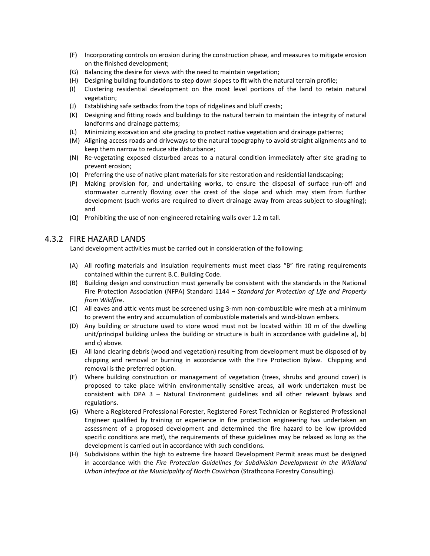- (F) Incorporating controls on erosion during the construction phase, and measures to mitigate erosion on the finished development;
- (G) Balancing the desire for views with the need to maintain vegetation;
- (H) Designing building foundations to step down slopes to fit with the natural terrain profile;
- (I) Clustering residential development on the most level portions of the land to retain natural vegetation;
- (J) Establishing safe setbacks from the tops of ridgelines and bluff crests;
- (K) Designing and fitting roads and buildings to the natural terrain to maintain the integrity of natural landforms and drainage patterns;
- (L) Minimizing excavation and site grading to protect native vegetation and drainage patterns;
- (M) Aligning access roads and driveways to the natural topography to avoid straight alignments and to keep them narrow to reduce site disturbance;
- (N) Re-vegetating exposed disturbed areas to a natural condition immediately after site grading to prevent erosion;
- (O) Preferring the use of native plant materials for site restoration and residential landscaping;
- (P) Making provision for, and undertaking works, to ensure the disposal of surface run-off and stormwater currently flowing over the crest of the slope and which may stem from further development (such works are required to divert drainage away from areas subject to sloughing); and
- (Q) Prohibiting the use of non-engineered retaining walls over 1.2 m tall.

### 4.3.2 FIRE HAZARD LANDS

Land development activities must be carried out in consideration of the following:

- (A) All roofing materials and insulation requirements must meet class "B" fire rating requirements contained within the current B.C. Building Code.
- (B) Building design and construction must generally be consistent with the standards in the National Fire Protection Association (NFPA) Standard 1144 - Standard for Protection of Life and Property from Wildfire.
- (C) All eaves and attic vents must be screened using 3-mm non-combustible wire mesh at a minimum to prevent the entry and accumulation of combustible materials and wind-blown embers.
- (D) Any building or structure used to store wood must not be located within 10 m of the dwelling unit/principal building unless the building or structure is built in accordance with guideline a), b) and c) above.
- (E) All land clearing debris (wood and vegetation) resulting from development must be disposed of by chipping and removal or burning in accordance with the Fire Protection Bylaw. Chipping and removal is the preferred option.
- (F) Where building construction or management of vegetation (trees, shrubs and ground cover) is proposed to take place within environmentally sensitive areas, all work undertaken must be consistent with DPA 3 – Natural Environment guidelines and all other relevant bylaws and regulations.
- (G) Where a Registered Professional Forester, Registered Forest Technician or Registered Professional Engineer qualified by training or experience in fire protection engineering has undertaken an assessment of a proposed development and determined the fire hazard to be low (provided specific conditions are met), the requirements of these guidelines may be relaxed as long as the development is carried out in accordance with such conditions.
- (H) Subdivisions within the high to extreme fire hazard Development Permit areas must be designed in accordance with the Fire Protection Guidelines for Subdivision Development in the Wildland Urban Interface at the Municipality of North Cowichan (Strathcona Forestry Consulting).